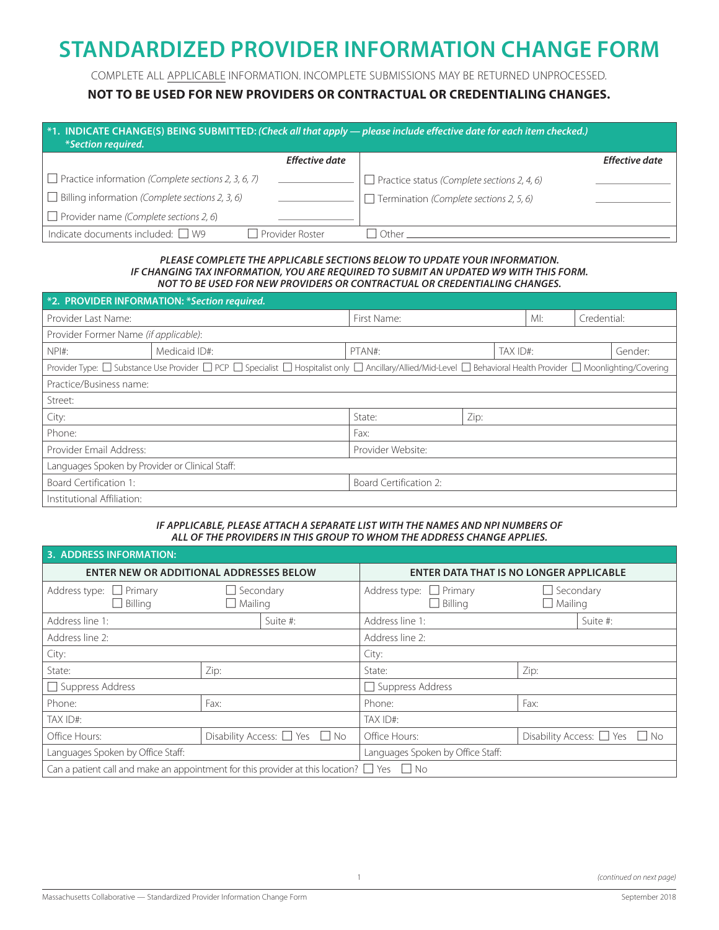# **STANDARDIZED PROVIDER INFORMATION CHANGE FORM**

COMPLETE ALL APPLICABLE INFORMATION. INCOMPLETE SUBMISSIONS MAY BE RETURNED UNPROCESSED.

### **NOT TO BE USED FOR NEW PROVIDERS OR CONTRACTUAL OR CREDENTIALING CHANGES.**

| *1. INDICATE CHANGE(S) BEING SUBMITTED: (Check all that apply — please include effective date for each item checked.)<br><i>*Section required.</i> |                 |                                                    |                       |  |  |  |  |
|----------------------------------------------------------------------------------------------------------------------------------------------------|-----------------|----------------------------------------------------|-----------------------|--|--|--|--|
|                                                                                                                                                    | Effective date  |                                                    | <b>Effective date</b> |  |  |  |  |
| $\Box$ Practice information (Complete sections 2, 3, 6, 7)                                                                                         |                 | $\Box$ Practice status (Complete sections 2, 4, 6) |                       |  |  |  |  |
| $\Box$ Billing information (Complete sections 2, 3, 6)                                                                                             |                 | $\Box$ Termination (Complete sections 2, 5, 6)     |                       |  |  |  |  |
| $\Box$ Provider name (Complete sections 2, 6)                                                                                                      |                 |                                                    |                       |  |  |  |  |
| Indicate documents included: $\Box$ W9                                                                                                             | Provider Roster | Other                                              |                       |  |  |  |  |

#### *PLEASE COMPLETE THE APPLICABLE SECTIONS BELOW TO UPDATE YOUR INFORMATION. IF CHANGING TAX INFORMATION, YOU ARE REQUIRED TO SUBMIT AN UPDATED W9 WITH THIS FORM. NOT TO BE USED FOR NEW PROVIDERS OR CONTRACTUAL OR CREDENTIALING CHANGES.*

|                                                 | *2. PROVIDER INFORMATION: *Section required.                                                                                                                    |                        |      |  |     |             |         |
|-------------------------------------------------|-----------------------------------------------------------------------------------------------------------------------------------------------------------------|------------------------|------|--|-----|-------------|---------|
| Provider Last Name:                             |                                                                                                                                                                 | First Name:            |      |  | MI: | Credential: |         |
| Provider Former Name (if applicable):           |                                                                                                                                                                 |                        |      |  |     |             |         |
| $NPI#$ :                                        | Medicaid ID#:                                                                                                                                                   | PTAN#:<br>TAX ID#:     |      |  |     |             | Gender: |
|                                                 | Provider Type: □ Substance Use Provider □ PCP □ Specialist □ Hospitalist only □ Ancillary/Allied/Mid-Level □ Behavioral Health Provider □ Moonlighting/Covering |                        |      |  |     |             |         |
| Practice/Business name:                         |                                                                                                                                                                 |                        |      |  |     |             |         |
| Street:                                         |                                                                                                                                                                 |                        |      |  |     |             |         |
| City:                                           |                                                                                                                                                                 | State:                 | Zip: |  |     |             |         |
| Phone:                                          |                                                                                                                                                                 | Fax:                   |      |  |     |             |         |
| Provider Email Address:                         | Provider Website:                                                                                                                                               |                        |      |  |     |             |         |
| Languages Spoken by Provider or Clinical Staff: |                                                                                                                                                                 |                        |      |  |     |             |         |
| Board Certification 1:                          |                                                                                                                                                                 | Board Certification 2: |      |  |     |             |         |
| Institutional Affiliation:                      |                                                                                                                                                                 |                        |      |  |     |             |         |

#### *IF APPLICABLE, PLEASE ATTACH A SEPARATE LIST WITH THE NAMES AND NPI NUMBERS OF ALL OF THE PROVIDERS IN THIS GROUP TO WHOM THE ADDRESS CHANGE APPLIES.*

| <b>3. ADDRESS INFORMATION:</b>                                                                            |                                    |                                         |                                                   |                                    |                                         |  |
|-----------------------------------------------------------------------------------------------------------|------------------------------------|-----------------------------------------|---------------------------------------------------|------------------------------------|-----------------------------------------|--|
| <b>ENTER NEW OR ADDITIONAL ADDRESSES BELOW</b>                                                            |                                    |                                         | <b>ENTER DATA THAT IS NO LONGER APPLICABLE</b>    |                                    |                                         |  |
| $\Box$ Primary<br>Address type:<br>$\Box$ Billing                                                         | $\Box$ Secondary<br>$\Box$ Mailing |                                         | Address type:<br>$\Box$ Primary<br>$\Box$ Billing | $\Box$ Secondary<br>$\Box$ Mailing |                                         |  |
| Address line 1:                                                                                           |                                    | Suite #:                                | Address line 1:                                   |                                    | Suite #:                                |  |
| Address line 2:                                                                                           |                                    | Address line 2:                         |                                                   |                                    |                                         |  |
| City:                                                                                                     |                                    | City:                                   |                                                   |                                    |                                         |  |
| State:                                                                                                    | Zip:                               |                                         | State:                                            | Zip:                               |                                         |  |
| Suppress Address                                                                                          |                                    | $\Box$ Suppress Address                 |                                                   |                                    |                                         |  |
| Fax:<br>Phone:                                                                                            |                                    | Phone:                                  | Fax:                                              |                                    |                                         |  |
| TAX ID#:                                                                                                  |                                    | TAX ID#:                                |                                                   |                                    |                                         |  |
| Office Hours:                                                                                             |                                    | Disability Access: $\Box$ Yes $\Box$ No | Office Hours:                                     |                                    | Disability Access: $\Box$ Yes $\Box$ No |  |
| Languages Spoken by Office Staff:                                                                         |                                    |                                         | Languages Spoken by Office Staff:                 |                                    |                                         |  |
| Can a patient call and make an appointment for this provider at this location? $\square$ Yes $\square$ No |                                    |                                         |                                                   |                                    |                                         |  |

l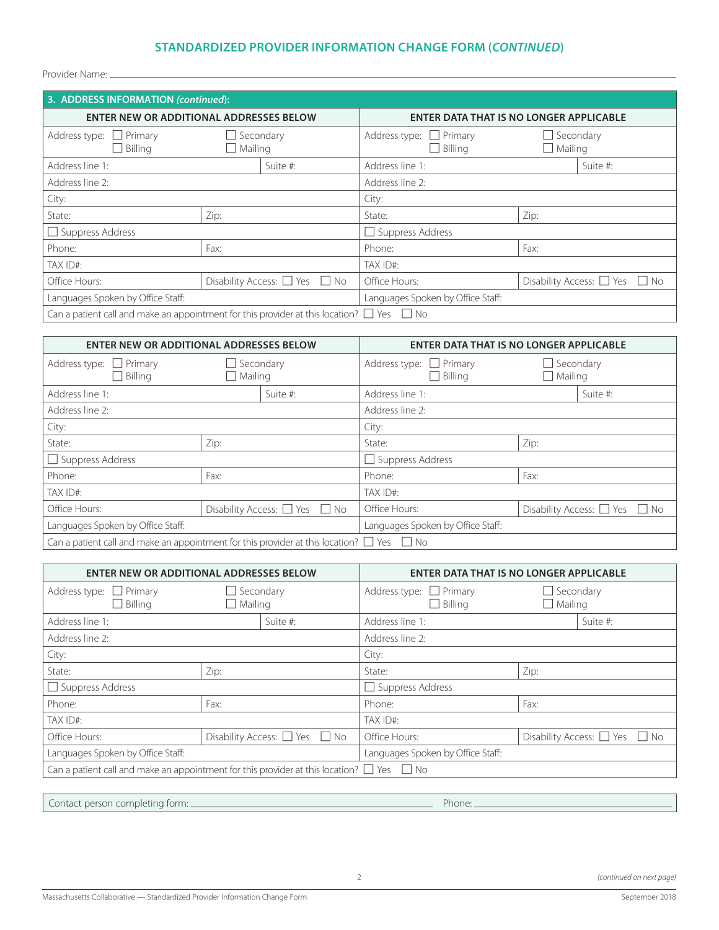## **STANDARDIZED PROVIDER INFORMATION CHANGE FORM (***CONTINUED***)**

Provider Name:

| 3. ADDRESS INFORMATION (continued):                                                                 |                                    |                                         |                                                |                                    |                                         |
|-----------------------------------------------------------------------------------------------------|------------------------------------|-----------------------------------------|------------------------------------------------|------------------------------------|-----------------------------------------|
| <b>ENTER NEW OR ADDITIONAL ADDRESSES BELOW</b>                                                      |                                    |                                         | ENTER DATA THAT IS NO LONGER APPLICABLE        |                                    |                                         |
| Address type: $\Box$ Primary<br>$\Box$ Billing                                                      | $\Box$ Secondary<br>$\Box$ Mailing |                                         | Address type: $\Box$ Primary<br>$\Box$ Billing | $\Box$ Secondary<br>$\Box$ Mailing |                                         |
| Address line 1:                                                                                     |                                    | Suite #:                                | Address line 1:                                |                                    | Suite #:                                |
| Address line 2:                                                                                     |                                    |                                         | Address line 2:                                |                                    |                                         |
| City:                                                                                               |                                    | City:                                   |                                                |                                    |                                         |
| Zip:<br>State:                                                                                      |                                    | State:                                  | Zip:                                           |                                    |                                         |
| $\Box$ Suppress Address                                                                             |                                    | Suppress Address                        |                                                |                                    |                                         |
| Phone:                                                                                              | Fax:                               |                                         | Phone:                                         | Fax:                               |                                         |
| TAX ID#:                                                                                            |                                    | TAX ID#:                                |                                                |                                    |                                         |
| Office Hours:                                                                                       |                                    | Disability Access: $\Box$ Yes $\Box$ No | Office Hours:                                  |                                    | Disability Access: $\Box$ Yes $\Box$ No |
| Languages Spoken by Office Staff:                                                                   |                                    |                                         | Languages Spoken by Office Staff:              |                                    |                                         |
| Can a patient call and make an appointment for this provider at this location? $\Box$ Yes $\Box$ No |                                    |                                         |                                                |                                    |                                         |

| <b>ENTER NEW OR ADDITIONAL ADDRESSES BELOW</b>                                                      |                                         |                                                | <b>ENTER DATA THAT IS NO LONGER APPLICABLE</b> |                                         |  |  |
|-----------------------------------------------------------------------------------------------------|-----------------------------------------|------------------------------------------------|------------------------------------------------|-----------------------------------------|--|--|
| Address type: $\Box$ Primary<br>$\Box$ Secondary<br>$\Box$ Billing<br>$\Box$ Mailing                |                                         | Address type: $\Box$ Primary<br>$\Box$ Billing | $\mathsf{L}$<br>$\Box$ Mailing                 | Secondary                               |  |  |
| Address line 1:<br>Suite #:                                                                         |                                         | Address line 1:                                |                                                | Suite #:                                |  |  |
| Address line 2:                                                                                     |                                         | Address line 2:                                |                                                |                                         |  |  |
| City:                                                                                               |                                         | City:                                          |                                                |                                         |  |  |
| State:                                                                                              | Zip:                                    |                                                | State:                                         | Zip:                                    |  |  |
| $\Box$ Suppress Address                                                                             |                                         |                                                | Suppress Address                               |                                         |  |  |
| Phone:                                                                                              | Fax:                                    |                                                | Phone:                                         | Fax:                                    |  |  |
| TAX ID#:                                                                                            |                                         | TAX ID#:                                       |                                                |                                         |  |  |
| Office Hours:                                                                                       | Disability Access: $\Box$ Yes $\Box$ No |                                                | Office Hours:                                  | Disability Access: $\Box$ Yes $\Box$ No |  |  |
| Languages Spoken by Office Staff:                                                                   |                                         |                                                | Languages Spoken by Office Staff:              |                                         |  |  |
| Can a patient call and make an appointment for this provider at this location? $\Box$ Yes $\Box$ No |                                         |                                                |                                                |                                         |  |  |

| <b>ENTER NEW OR ADDITIONAL ADDRESSES BELOW</b>                                                      |                                    |                 | <b>ENTER DATA THAT IS NO LONGER APPLICABLE</b> |                                         |          |  |
|-----------------------------------------------------------------------------------------------------|------------------------------------|-----------------|------------------------------------------------|-----------------------------------------|----------|--|
| Address type: $\Box$ Primary<br>$\Box$ Billing                                                      | $\Box$ Secondary<br>$\Box$ Mailing |                 | Address type: $\Box$ Primary<br>$\Box$ Billing | $\Box$ Secondary<br>$\Box$ Mailing      |          |  |
| Address line 1:                                                                                     | Suite #:                           |                 | Address line 1:                                |                                         | Suite #: |  |
| Address line 2:                                                                                     |                                    | Address line 2: |                                                |                                         |          |  |
| City:                                                                                               |                                    |                 | City:                                          |                                         |          |  |
| State:                                                                                              | Zip:                               |                 | State:                                         | Zip:                                    |          |  |
| $\Box$ Suppress Address                                                                             |                                    |                 | $\Box$ Suppress Address                        |                                         |          |  |
| Phone:                                                                                              | Fax:                               |                 | Phone:                                         | Fax:                                    |          |  |
| TAX ID#:                                                                                            |                                    | TAX ID#:        |                                                |                                         |          |  |
| Disability Access: $\Box$ Yes $\Box$ No<br>Office Hours:                                            |                                    | Office Hours:   |                                                | Disability Access: $\Box$ Yes $\Box$ No |          |  |
| Languages Spoken by Office Staff:                                                                   |                                    |                 | Languages Spoken by Office Staff:              |                                         |          |  |
| Can a patient call and make an appointment for this provider at this location? $\Box$ Yes $\Box$ No |                                    |                 |                                                |                                         |          |  |

Contact person completing form: Notify the Mathematic Contact person completing form: Notify 1999 and Mathematic Phone: Notify 1999 and Phone: Notify 1999 and Phone: Notify 1999 and Phone: Notify 1999 and Phone: Notify 199